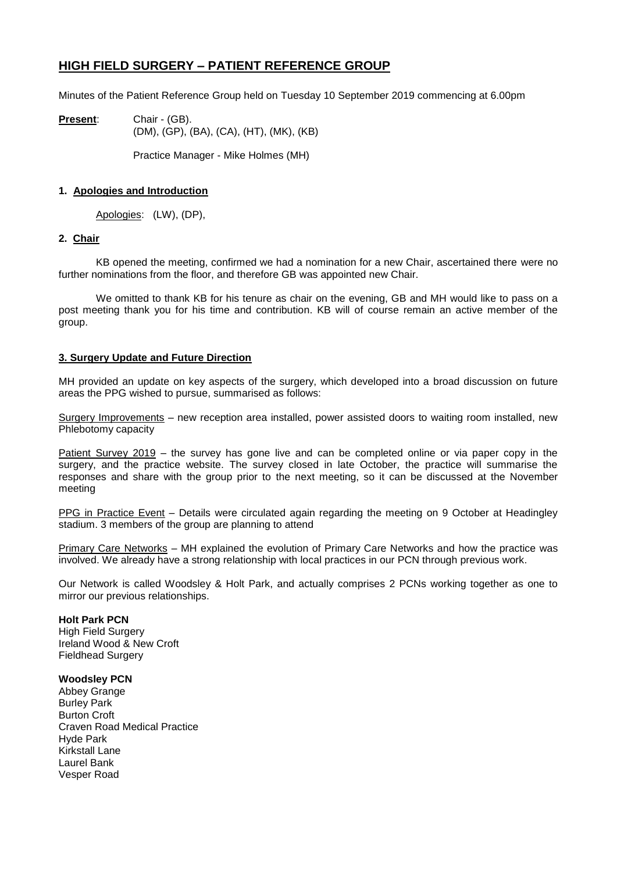# **HIGH FIELD SURGERY – PATIENT REFERENCE GROUP**

Minutes of the Patient Reference Group held on Tuesday 10 September 2019 commencing at 6.00pm

**Present**: Chair - (GB). (DM), (GP), (BA), (CA), (HT), (MK), (KB)

Practice Manager - Mike Holmes (MH)

## **1. Apologies and Introduction**

Apologies: (LW), (DP),

### **2. Chair**

KB opened the meeting, confirmed we had a nomination for a new Chair, ascertained there were no further nominations from the floor, and therefore GB was appointed new Chair.

We omitted to thank KB for his tenure as chair on the evening, GB and MH would like to pass on a post meeting thank you for his time and contribution. KB will of course remain an active member of the group.

## **3. Surgery Update and Future Direction**

MH provided an update on key aspects of the surgery, which developed into a broad discussion on future areas the PPG wished to pursue, summarised as follows:

Surgery Improvements – new reception area installed, power assisted doors to waiting room installed, new Phlebotomy capacity

Patient Survey 2019 – the survey has gone live and can be completed online or via paper copy in the surgery, and the practice website. The survey closed in late October, the practice will summarise the responses and share with the group prior to the next meeting, so it can be discussed at the November meeting

PPG in Practice Event – Details were circulated again regarding the meeting on 9 October at Headingley stadium. 3 members of the group are planning to attend

Primary Care Networks - MH explained the evolution of Primary Care Networks and how the practice was involved. We already have a strong relationship with local practices in our PCN through previous work.

Our Network is called Woodsley & Holt Park, and actually comprises 2 PCNs working together as one to mirror our previous relationships.

#### **Holt Park PCN**

High Field Surgery Ireland Wood & New Croft Fieldhead Surgery

#### **Woodsley PCN**

Abbey Grange Burley Park Burton Croft Craven Road Medical Practice Hyde Park Kirkstall Lane Laurel Bank Vesper Road